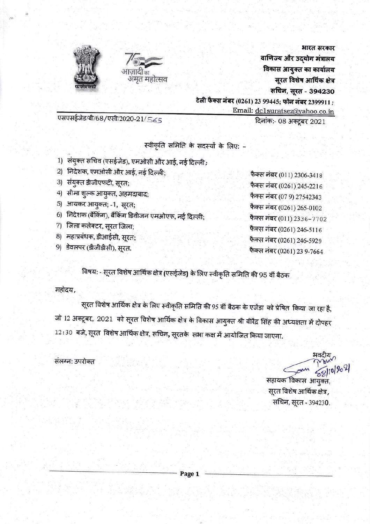



भारत सरकार वाणिज्य और उद्योग मंत्रालय विकास आयुक्त का कार्यालय सूरत विशेष आर्थिक क्षेत्र सचिन, सूरत - 394230 टेली फैक्स नंबर (0261) 23 99445; फोन नंबर 2399911; Email: dc1suratsez@yahoo.co.in

एसएसईजेड/बी/68/एसी/2020-21/565

दिनांक:- 08 अक्टूबर 2021

स्वीकृति समिति के सदस्यों के लिए: -

- 1) संयुक्त सचिव (एसईजेड), एमओसी और आई, नई दिल्ली;
- 2) निदेशक, एमओसी और आई, नई दिल्ली;
- 3) संयुक्त डीजीएफटी, सूरत;
- 4) सीमा शुल्क आयुक्त, अहमदाबाद;
- 5) आयकर आयुक्त; -1, सूरत;
- 6) निदेशक (बैंकिंग), बैंकिंग डिवीजन एमओएफ, नई दिल्ली;
- 7) जिला कलेक्टर, सूरत जिला;
- 8) महाप्रबंधक, डीआईसी, सूरत;
- 9) डेवलपर (डीजीडीसी), सुरत.

फैक्स नंबर (011) 2306-3418 फैक्स नंबर (0261) 245-2216 फैक्स नंबर (07 9) 27542343 फैक्स नंबर (0261) 265-0102 फैक्स नंबर (011) 2336-7702 फैक्स नंबर (0261) 246-5116 फैक्स नंबर (0261) 246-5929 फैक्स नंबर (0261) 23 9-7664

विषय: - सूरत विशेष आर्थिक क्षेत्र (एसईजेड) के लिए स्वीकृति समिति की 95 वीं बैठक

महोदय,

सूरत विशेष आर्थिक क्षेत्र के लिए स्वीकृति समिति की 95 वीं बैठक के एजेंडा को प्रेषित किया जा रहा है, जो 12 अक्टूबर, 2021 को सूरत विशेष आर्थिक क्षेत्र के विकास आयुक्त श्री वीरेंद्र सिंह की अध्यक्षता में दोपहर  $12\colon\!30$  बजे, सूरत विशेष आर्थिक क्षेत्र, सचिन, सूरतके सभा कक्ष में आयोजित किया जाएगा.

संलग्न: उपरोक्त

भवदीर सहायक विकास आयुक्त, सूरत विशेष आर्थिक क्षेत्र, सचिन, सूरत - 394230.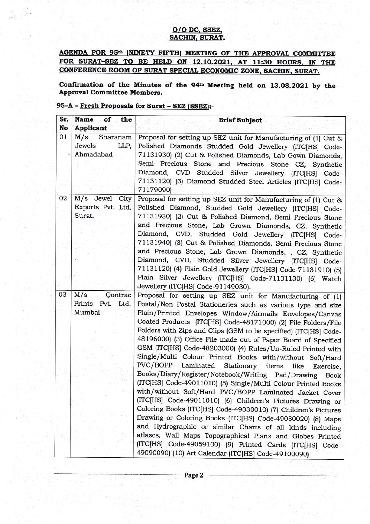## O/O DC, SSEZ, SACHIN. SURAT.

AGENDA FOR 95<sup>th</sup> (NINETY FIFTH) MEETING OF THE APPROVAL COMMITTEE FOR SURAT-SEZ TO BE HELD ON 12.10.2021, AT 11:30 HOURS, IN THE CONFERENCE ROOM OF SURAT SPECIAL ECONOMIC ZONE. SACHIN. SURAT.

Confirmation of the Minutes of the 94th Meeting held on 13.08.2021 by the Approval Committee Members.

## 95-A - Fresh Proposals for Surat - SEZ (SSEZ):-

| Sr.<br>No | Name of<br>the<br><b>Applicant</b>             | <b>Brief Subject</b>                                                                                                                                                                                                                                                                                                                                                                                                                                                                                                                                                                                                                                                                                                                                                                                                                                                                                                                                                                                                                                                                                                                                                |
|-----------|------------------------------------------------|---------------------------------------------------------------------------------------------------------------------------------------------------------------------------------------------------------------------------------------------------------------------------------------------------------------------------------------------------------------------------------------------------------------------------------------------------------------------------------------------------------------------------------------------------------------------------------------------------------------------------------------------------------------------------------------------------------------------------------------------------------------------------------------------------------------------------------------------------------------------------------------------------------------------------------------------------------------------------------------------------------------------------------------------------------------------------------------------------------------------------------------------------------------------|
| 01        | M/s<br>Sharanam<br>Jewels<br>LLP,<br>Ahmadabad | Proposal for setting up SEZ unit for Manufacturing of (1) Cut &<br>Polished Diamonds Studded Gold Jewellery (ITC[HS] Code-<br>71131930) (2) Cut & Polished Diamonds, Lab Gown Diamonds,<br>Semi Precious Stone and Precious Stone CZ, Synthetic<br>Diamond, CVD Studded Silver Jewellery (ITC[HS] Code-                                                                                                                                                                                                                                                                                                                                                                                                                                                                                                                                                                                                                                                                                                                                                                                                                                                             |
|           |                                                | 71131120) (3) Diamond Studded Steel Articles (ITC[HS] Code-<br>71179090)                                                                                                                                                                                                                                                                                                                                                                                                                                                                                                                                                                                                                                                                                                                                                                                                                                                                                                                                                                                                                                                                                            |
| 02        | M/s Jewel City<br>Exports Pvt. Ltd,<br>Surat.  | Proposal for setting up SEZ unit for Manufacturing of (1) Cut &<br>Polished Diamond, Studded Gold Jewellery (ITC[HS] Code-<br>71131930) (2) Cut & Polished Diamond, Semi Precious Stone<br>and Precious Stone, Lab Grown Diamonds, CZ, Synthetic<br>Diamond, CVD, Studded Gold Jewellery (ITC[HS] Code-<br>71131940) (3) Cut & Polished Diamonds, Semi Precious Stone<br>and Precious Stone, Lab Grown Diamonds, , CZ, Synthetic<br>Diamond, CVD, Studded Silver Jewellery (ITC[HS] Code-                                                                                                                                                                                                                                                                                                                                                                                                                                                                                                                                                                                                                                                                           |
|           |                                                | 71131120) (4) Plain Gold Jewellery (ITC[HS] Code-71131910) (5)<br>Plain Silver Jewellery (ITC[HS] Code-71131130) (6) Watch<br>Jewellery (ITC[HS] Code-91149030).                                                                                                                                                                                                                                                                                                                                                                                                                                                                                                                                                                                                                                                                                                                                                                                                                                                                                                                                                                                                    |
| 03        | M/s<br>Qontrac<br>Prints Pvt. Ltd,<br>Mumbai   | Proposal for setting up SEZ unit for Manufacturing of (1)<br>Postal/Non Postal Stationeries such as various type and size<br>Plain/Printed Envelopes Window/Airmails Envelopes/Canvas<br>Coated Products (ITC[HS] Code-48171000) (2) File Folders/File<br>Folders with Zips and Clips (GSM to be specified) (ITC[HS] Code-<br>48196000) (3) Office File made out of Paper Board of Specified<br>GSM (ITC[HS] Code-48203000) (4) Rules/Un-Ruled Printed with<br>Single/Multi Colour Printed Books with/without Soft/Hard<br>PVC/BOPP Laminated Stationary items<br>like Exercise,<br>Books/Diary/Register/Notebook/Writing Pad/Drawing<br><b>Book</b><br>(ITC[HS] Code-49011010) (5) Single/Multi Colour Printed Books<br>with/without Soft/Hard PVC/BOPP Laminated Jacket Cover<br>(ITC[HS] Code-49011010) (6) Children's Pictures Drawing or<br>Coloring Books (ITC[HS] Code-49030010) (7) Children's Pictures<br>Drawing or Coloring Books (ITC[HS] Code-49030020) (8) Maps<br>and Hydrographic or similar Charts of all kinds including<br>atlases, Wall Maps Topographical Plans and Globes Printed<br>(ITC[HS] Code-49059100) (9) Printed Cards (ITC[HS] Code- |
|           |                                                | 49090090) (10) Art Calendar (ITC[HS] Code-49100090)                                                                                                                                                                                                                                                                                                                                                                                                                                                                                                                                                                                                                                                                                                                                                                                                                                                                                                                                                                                                                                                                                                                 |

Page 2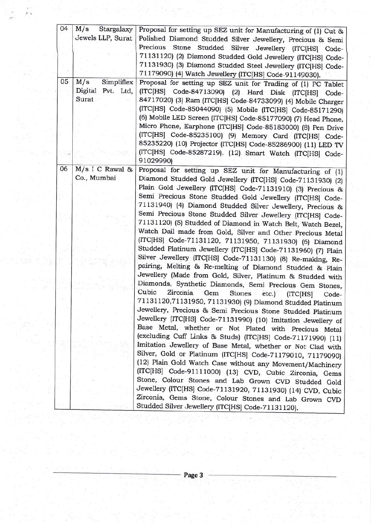| 04 | M/s<br>Stargalaxy                               | Proposal for setting up SEZ unit for Manufacturing of (1) Cut &                                                                                                                                                                                                                                                                                                                                                                                                                                                                                                                        |
|----|-------------------------------------------------|----------------------------------------------------------------------------------------------------------------------------------------------------------------------------------------------------------------------------------------------------------------------------------------------------------------------------------------------------------------------------------------------------------------------------------------------------------------------------------------------------------------------------------------------------------------------------------------|
|    | Jewels LLP, Surat                               | Polished Diamond Studded Silver Jewellery, Precious & Semi<br>Precious Stone Studded Silver Jewellery (ITC[HS] Code-                                                                                                                                                                                                                                                                                                                                                                                                                                                                   |
|    |                                                 | 71131120) (2) Diamond Studded Gold Jewellery (ITC[HS] Code-<br>71131930) (3) Diamond Studded Steel Jewellery (ITC[HS] Code-<br>71179090) (4) Watch Jewellery (ITC[HS] Code-91149030).                                                                                                                                                                                                                                                                                                                                                                                                  |
| 05 | M/s<br>Simpliflex<br>Digital Pvt. Ltd,<br>Surat | Proposal for setting up SEZ unit for Trading of (1) PC Tablet<br>(ITC[HS] Code-84713090) (2) Hard Disk (ITC[HS] Code-<br>84717020) (3) Ram (ITC[HS] Code-84733099) (4) Mobile Charger<br>(ITC[HS] Code-85044090) (5) Mobile (ITC[HS] Code-85171290)<br>(6) Mobile LED Screen (ITC[HS] Code-85177090) (7) Head Phone,<br>Micro Phone, Earphone (ITC[HS] Code-85183000) (8) Pen Drive<br>(ITC[HS] Code-85235100) (9) Memory Card (ITC[HS] Code-<br>85235220) (10) Projector (ITC[HS] Code-85286900) (11) LED TV<br>(ITC[HS] Code-85287219). (12) Smart Watch (ITC[HS] Code-<br>91029990) |
| 06 | $M/s$ I C Rawal &<br>Co., Mumbai                | Proposal for setting up SEZ unit for Manufacturing of (1)<br>Diamond Studded Gold Jewellery (ITC[HS] Code-71131930) (2)                                                                                                                                                                                                                                                                                                                                                                                                                                                                |
|    |                                                 | Plain Gold Jewellery (ITC[HS] Code-71131910) (3) Precious &<br>Semi Precious Stone Studded Gold Jewellery (ITC[HS] Code-<br>71131940) (4) Diamond Studded Silver Jewellery, Precious &                                                                                                                                                                                                                                                                                                                                                                                                 |
|    |                                                 | Semi Precious Stone Studded Silver Jewellery (ITC[HS] Code-<br>71131120) (5) Studded of Diamond in Watch Belt, Watch Bezel,<br>Watch Dail made from Gold, Silver and Other Precious Metal<br>(ITC[HS] Code-71131120, 71131950, 71131930) (6) Diamond<br>Studded Platinum Jewellery (ITC[HS] Code-71131960) (7) Plain                                                                                                                                                                                                                                                                   |
|    |                                                 | Silver Jewellery (ITC[HS] Code-71131130) (8) Re-making, Re-<br>pairing, Melting & Re-melting of Diamond Studded & Plain<br>Jewellery (Made from Gold, Silver, Platinum & Studded with<br>Diamonds, Synthetic Diamonds, Semi Precious Gem Stones,                                                                                                                                                                                                                                                                                                                                       |
|    |                                                 | Cubic<br>Zirconia<br>Gem<br>Stones<br>etc.)<br>(ITC[HS]<br>Code-<br>71131120,71131950, 71131930) (9) Diamond Studded Platinum<br>Jewellery, Precious & Semi Precious Stone Studded Platinum<br>Jewellery (ITC[HS] Code-71131990) (10) Imitation Jewellery of<br>Base Metal, whether or Not Plated with Precious Metal                                                                                                                                                                                                                                                                  |
|    |                                                 | (excluding Cuff Links & Studs) (ITC[HS] Code-71171990) (11)<br>Imitation Jewellery of Base Metal, whether or Not Clad with<br>Silver, Gold or Platinum (ITC[HS] Code-71179010, 71179090)<br>(12) Plain Gold Watch Case without any Movement/Machinery<br>(ITC[HS] Code-91111000) (13) CVD, Cubic Zirconia, Gems                                                                                                                                                                                                                                                                        |
|    |                                                 | Stone, Colour Stones and Lab Grown CVD Studded Gold<br>Jewellery (ITC[HS] Code-71131920, 71131930) (14) CVD, Cubic<br>Zirconia, Gems Stone, Colour Stones and Lab Grown CVD<br>Studded Silver Jewellery (ITC[HS] Code-71131120).                                                                                                                                                                                                                                                                                                                                                       |